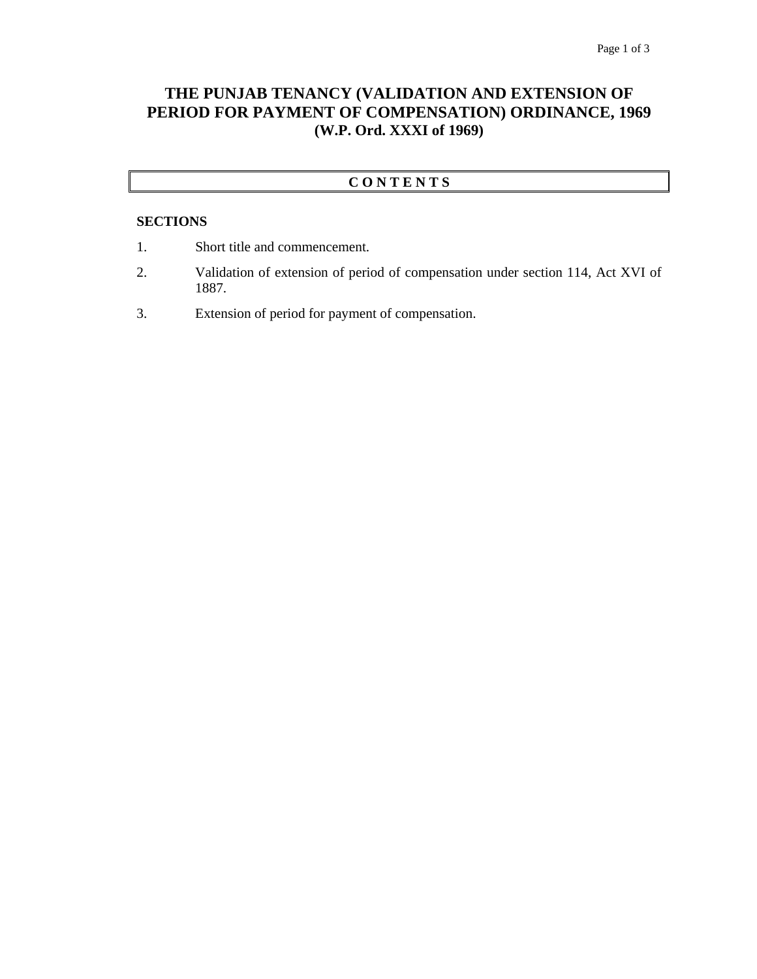# **THE PUNJAB TENANCY (VALIDATION AND EXTENSION OF PERIOD FOR PAYMENT OF COMPENSATION) ORDINANCE, 1969 (W.P. Ord. XXXI of 1969)**

# **C O N T E N T S**

### **SECTIONS**

- 1. Short title and commencement.
- 2. Validation of extension of period of compensation under section 114, Act XVI of 1887.
- 3. Extension of period for payment of compensation.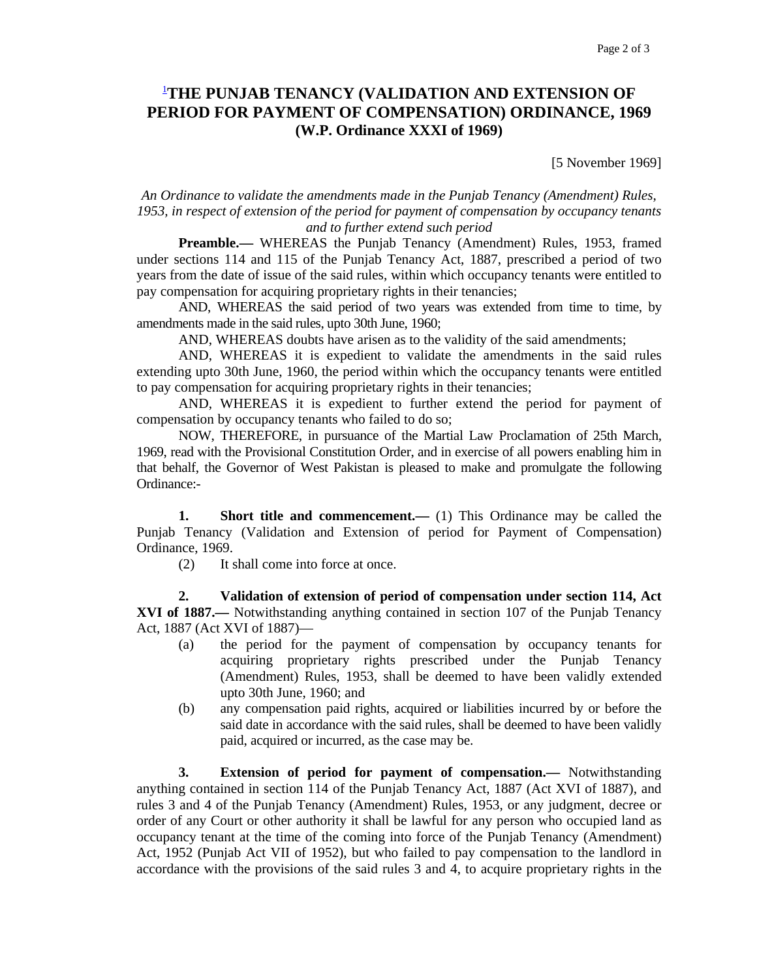# 1 **THE PUNJAB TENANCY (VALIDATION AND EXTENSION OF PERIOD FOR PAYMENT OF COMPENSATION) ORDINANCE, 1969 (W.P. Ordinance XXXI of 1969)**

[5 November 1969]

#### *An Ordinance to validate the amendments made in the Punjab Tenancy (Amendment) Rules, 1953, in respect of extension of the period for payment of compensation by occupancy tenants and to further extend such period*

**Preamble.**— WHEREAS the Punjab Tenancy (Amendment) Rules, 1953, framed under sections 114 and 115 of the Punjab Tenancy Act, 1887, prescribed a period of two years from the date of issue of the said rules, within which occupancy tenants were entitled to pay compensation for acquiring proprietary rights in their tenancies;

 AND, WHEREAS the said period of two years was extended from time to time, by amendments made in the said rules, upto 30th June, 1960;

AND, WHEREAS doubts have arisen as to the validity of the said amendments;

 AND, WHEREAS it is expedient to validate the amendments in the said rules extending upto 30th June, 1960, the period within which the occupancy tenants were entitled to pay compensation for acquiring proprietary rights in their tenancies;

 AND, WHEREAS it is expedient to further extend the period for payment of compensation by occupancy tenants who failed to do so;

 NOW, THEREFORE, in pursuance of the Martial Law Proclamation of 25th March, 1969, read with the Provisional Constitution Order, and in exercise of all powers enabling him in that behalf, the Governor of West Pakistan is pleased to make and promulgate the following Ordinance:-

**1.** Short title and commencement.— (1) This Ordinance may be called the Punjab Tenancy (Validation and Extension of period for Payment of Compensation) Ordinance, 1969.

(2) It shall come into force at once.

 **2. Validation of extension of period of compensation under section 114, Act XVI of 1887.—** Notwithstanding anything contained in section 107 of the Punjab Tenancy Act, 1887 (Act XVI of 1887)—

- (a) the period for the payment of compensation by occupancy tenants for acquiring proprietary rights prescribed under the Punjab Tenancy (Amendment) Rules, 1953, shall be deemed to have been validly extended upto 30th June, 1960; and
- (b) any compensation paid rights, acquired or liabilities incurred by or before the said date in accordance with the said rules, shall be deemed to have been validly paid, acquired or incurred, as the case may be.

 **3. Extension of period for payment of compensation.—** Notwithstanding anything contained in section 114 of the Punjab Tenancy Act, 1887 (Act XVI of 1887), and rules 3 and 4 of the Punjab Tenancy (Amendment) Rules, 1953, or any judgment, decree or order of any Court or other authority it shall be lawful for any person who occupied land as occupancy tenant at the time of the coming into force of the Punjab Tenancy (Amendment) Act, 1952 (Punjab Act VII of 1952), but who failed to pay compensation to the landlord in accordance with the provisions of the said rules 3 and 4, to acquire proprietary rights in the